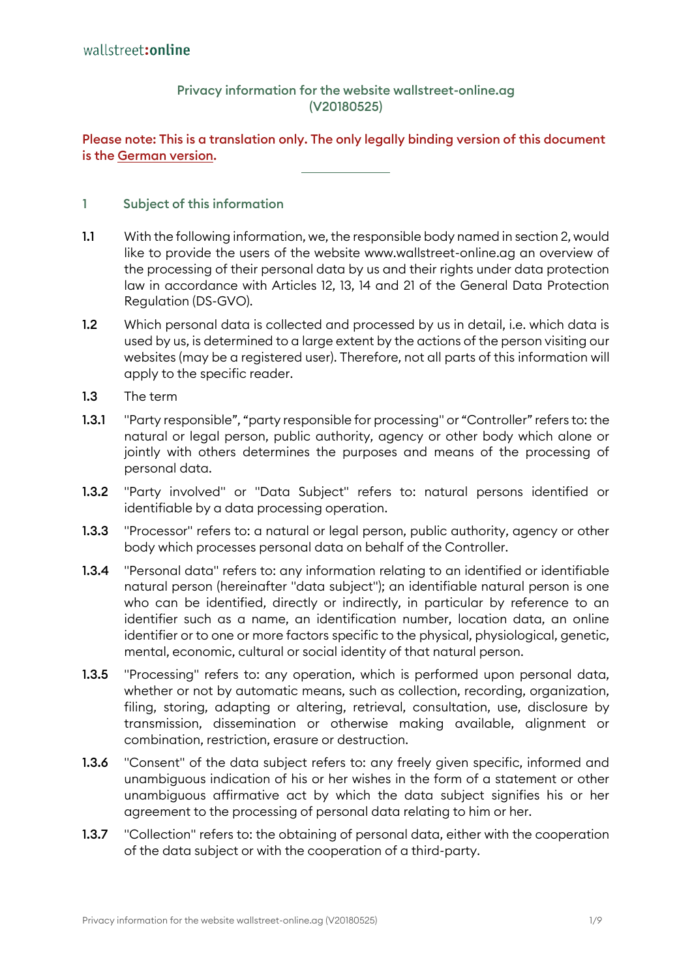## Privacy information for the website wallstreet-online.ag (V20180525)

## Please note: This is a translation only. The only legally binding version of this document is the [German version.](https://wallstreet-online.ag/download/companies/wallstreetonline/datenschutz/wsdatenschutz.pdf)

#### 1 Subject of this information

- 1.1 With the following information, we, the responsible body named in section 2, would like to provide the users of the website www.wallstreet-online.ag an overview of the processing of their personal data by us and their rights under data protection law in accordance with Articles 12, 13, 14 and 21 of the General Data Protection Regulation (DS-GVO).
- 1.2 Which personal data is collected and processed by us in detail, i.e. which data is used by us, is determined to a large extent by the actions of the person visiting our websites (may be a registered user). Therefore, not all parts of this information will apply to the specific reader.
- 1.3 The term
- 1.3.1 "Party responsible", "party responsible for processing" or "Controller" refers to: the natural or legal person, public authority, agency or other body which alone or jointly with others determines the purposes and means of the processing of personal data.
- 1.3.2 "Party involved" or "Data Subject" refers to: natural persons identified or identifiable by a data processing operation.
- 1.3.3 "Processor" refers to: a natural or legal person, public authority, gaency or other body which processes personal data on behalf of the Controller.
- 1.3.4 "Personal data" refers to: any information relating to an identified or identifiable natural person (hereinafter "data subject"); an identifiable natural person is one who can be identified, directly or indirectly, in particular by reference to an identifier such as a name, an identification number, location data, an online identifier or to one or more factors specific to the physical, physiological, genetic, mental, economic, cultural or social identity of that natural person.
- 1.3.5 "Processing" refers to: any operation, which is performed upon personal data, whether or not by automatic means, such as collection, recording, organization, filing, storing, adapting or altering, retrieval, consultation, use, disclosure by transmission, dissemination or otherwise making available, alignment or combination, restriction, erasure or destruction.
- 1.3.6 "Consent" of the data subject refers to: any freely given specific, informed and unambiguous indication of his or her wishes in the form of a statement or other unambiguous affirmative act by which the data subject signifies his or her agreement to the processing of personal data relating to him or her.
- 1.3.7 "Collection" refers to: the obtaining of personal data, either with the cooperation of the data subject or with the cooperation of a third-party.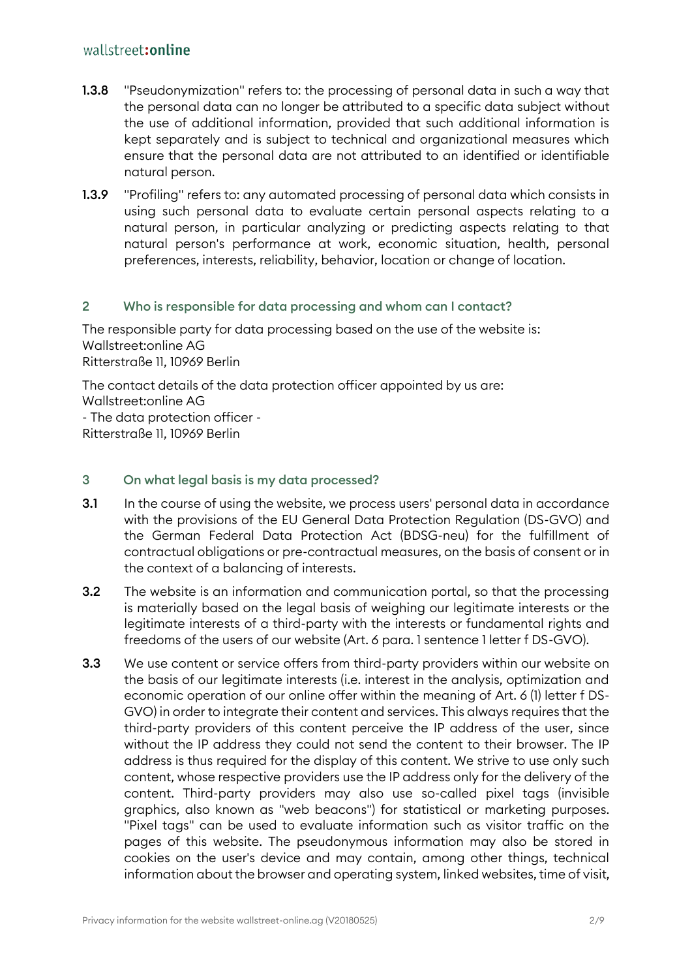# wallstreet: online

- 1.3.8 "Pseudonymization" refers to: the processing of personal data in such a way that the personal data can no longer be attributed to a specific data subject without the use of additional information, provided that such additional information is kept separately and is subject to technical and organizational measures which ensure that the personal data are not attributed to an identified or identifiable natural person.
- 1.3.9 "Profiling" refers to: any automated processing of personal data which consists in using such personal data to evaluate certain personal aspects relating to a natural person, in particular analyzing or predicting aspects relating to that natural person's performance at work, economic situation, health, personal preferences, interests, reliability, behavior, location or change of location.

#### 2 Who is responsible for data processing and whom can I contact?

The responsible party for data processing based on the use of the website is: Wallstreet:online AG Ritterstraße 11, 10969 Berlin

The contact details of the data protection officer appointed by us are: Wallstreet:online AG - The data protection officer - Ritterstraße 11, 10969 Berlin

#### 3 On what legal basis is my data processed?

- 3.1 In the course of using the website, we process users' personal data in accordance with the provisions of the EU General Data Protection Regulation (DS-GVO) and the German Federal Data Protection Act (BDSG-neu) for the fulfillment of contractual obligations or pre-contractual measures, on the basis of consent or in the context of a balancing of interests.
- **3.2** The website is an information and communication portal, so that the processing is materially based on the legal basis of weighing our legitimate interests or the legitimate interests of a third-party with the interests or fundamental rights and freedoms of the users of our website (Art. 6 para. 1 sentence 1 letter f DS-GVO).
- **3.3** We use content or service offers from third-party providers within our website on the basis of our legitimate interests (i.e. interest in the analysis, optimization and economic operation of our online offer within the meaning of Art. 6 (1) letter f DS-GVO) in order to integrate their content and services. This always requires that the third-party providers of this content perceive the IP address of the user, since without the IP address they could not send the content to their browser. The IP address is thus required for the display of this content. We strive to use only such content, whose respective providers use the IP address only for the delivery of the content. Third-party providers may also use so-called pixel tags (invisible graphics, also known as "web beacons") for statistical or marketing purposes. "Pixel tags" can be used to evaluate information such as visitor traffic on the pages of this website. The pseudonymous information may also be stored in cookies on the user's device and may contain, among other things, technical information about the browser and operating system, linked websites, time of visit,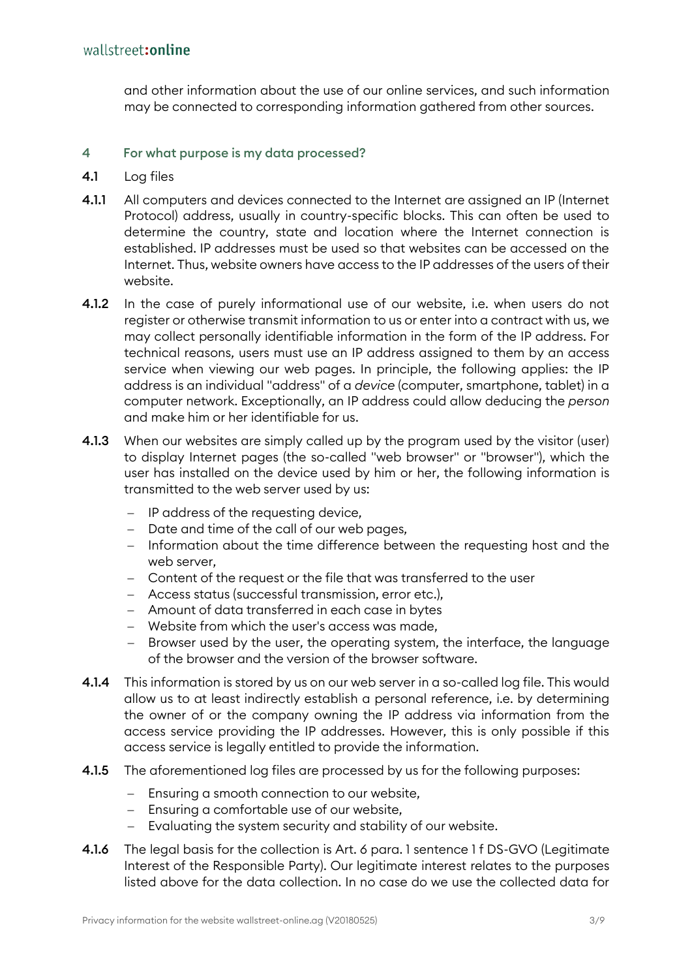and other information about the use of our online services, and such information may be connected to corresponding information gathered from other sources.

## 4 For what purpose is my data processed?

- 4.1 Log files
- 4.1.1 All computers and devices connected to the Internet are assigned an IP (Internet Protocol) address, usually in country-specific blocks. This can often be used to determine the country, state and location where the Internet connection is established. IP addresses must be used so that websites can be accessed on the Internet. Thus, website owners have access to the IP addresses of the users of their website.
- 4.1.2 In the case of purely informational use of our website, i.e. when users do not register or otherwise transmit information to us or enter into a contract with us, we may collect personally identifiable information in the form of the IP address. For technical reasons, users must use an IP address assigned to them by an access service when viewing our web pages. In principle, the following applies: the IP address is an individual "address" of a *device* (computer, smartphone, tablet) in a computer network. Exceptionally, an IP address could allow deducing the *person* and make him or her identifiable for us.
- 4.1.3 When our websites are simply called up by the program used by the visitor (user) to display Internet pages (the so-called "web browser" or "browser"), which the user has installed on the device used by him or her, the following information is transmitted to the web server used by us:
	- − IP address of the requesting device,
	- − Date and time of the call of our web pages,
	- − Information about the time difference between the requesting host and the web server,
	- − Content of the request or the file that was transferred to the user
	- − Access status (successful transmission, error etc.),
	- − Amount of data transferred in each case in bytes
	- − Website from which the user's access was made,
	- − Browser used by the user, the operating system, the interface, the language of the browser and the version of the browser software.
- 4.1.4 This information is stored by us on our web server in a so-called log file. This would allow us to at least indirectly establish a personal reference, i.e. by determining the owner of or the company owning the IP address via information from the access service providing the IP addresses. However, this is only possible if this access service is legally entitled to provide the information.
- 4.1.5 The aforementioned log files are processed by us for the following purposes:
	- − Ensuring a smooth connection to our website,
	- − Ensuring a comfortable use of our website,
	- − Evaluating the system security and stability of our website.
- 4.1.6 The legal basis for the collection is Art. 6 para. 1 sentence 1 f DS-GVO (Legitimate Interest of the Responsible Party). Our legitimate interest relates to the purposes listed above for the data collection. In no case do we use the collected data for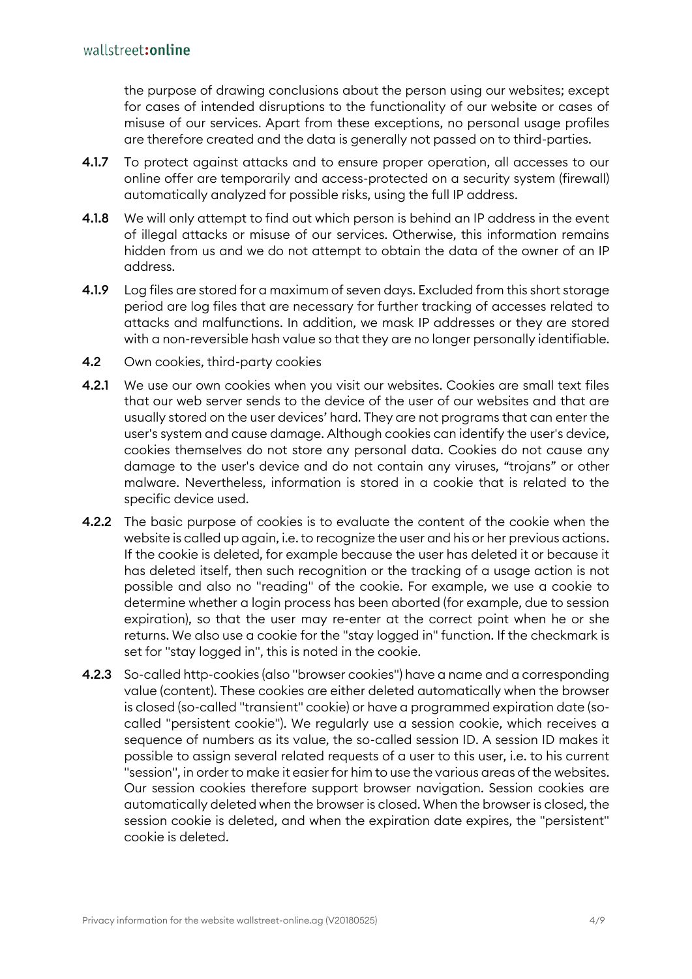the purpose of drawing conclusions about the person using our websites; except for cases of intended disruptions to the functionality of our website or cases of misuse of our services. Apart from these exceptions, no personal usage profiles are therefore created and the data is generally not passed on to third-parties.

- 4.1.7 To protect against attacks and to ensure proper operation, all accesses to our online offer are temporarily and access-protected on a security system (firewall) automatically analyzed for possible risks, using the full IP address.
- 4.1.8 We will only attempt to find out which person is behind an IP address in the event of illegal attacks or misuse of our services. Otherwise, this information remains hidden from us and we do not attempt to obtain the data of the owner of an IP address.
- 4.1.9 Log files are stored for a maximum of seven days. Excluded from this short storage period are log files that are necessary for further tracking of accesses related to attacks and malfunctions. In addition, we mask IP addresses or they are stored with a non-reversible hash value so that they are no longer personally identifiable.
- 4.2 Own cookies, third-party cookies
- 4.2.1 We use our own cookies when you visit our websites. Cookies are small text files that our web server sends to the device of the user of our websites and that are usually stored on the user devices' hard. They are not programs that can enter the user's system and cause damage. Although cookies can identify the user's device, cookies themselves do not store any personal data. Cookies do not cause any damage to the user's device and do not contain any viruses, "trojans" or other malware. Nevertheless, information is stored in a cookie that is related to the specific device used.
- 4.2.2 The basic purpose of cookies is to evaluate the content of the cookie when the website is called up again, i.e. to recognize the user and his or her previous actions. If the cookie is deleted, for example because the user has deleted it or because it has deleted itself, then such recognition or the tracking of a usage action is not possible and also no "reading" of the cookie. For example, we use a cookie to determine whether a login process has been aborted (for example, due to session expiration), so that the user may re-enter at the correct point when he or she returns. We also use a cookie for the "stay logged in" function. If the checkmark is set for "stay logged in", this is noted in the cookie.
- 4.2.3 So-called http-cookies (also "browser cookies") have a name and a corresponding value (content). These cookies are either deleted automatically when the browser is closed (so-called "transient" cookie) or have a programmed expiration date (socalled "persistent cookie"). We regularly use a session cookie, which receives a sequence of numbers as its value, the so-called session ID. A session ID makes it possible to assign several related requests of a user to this user, i.e. to his current "session", in order to make it easier for him to use the various areas of the websites. Our session cookies therefore support browser navigation. Session cookies are automatically deleted when the browser is closed. When the browser is closed, the session cookie is deleted, and when the expiration date expires, the "persistent" cookie is deleted.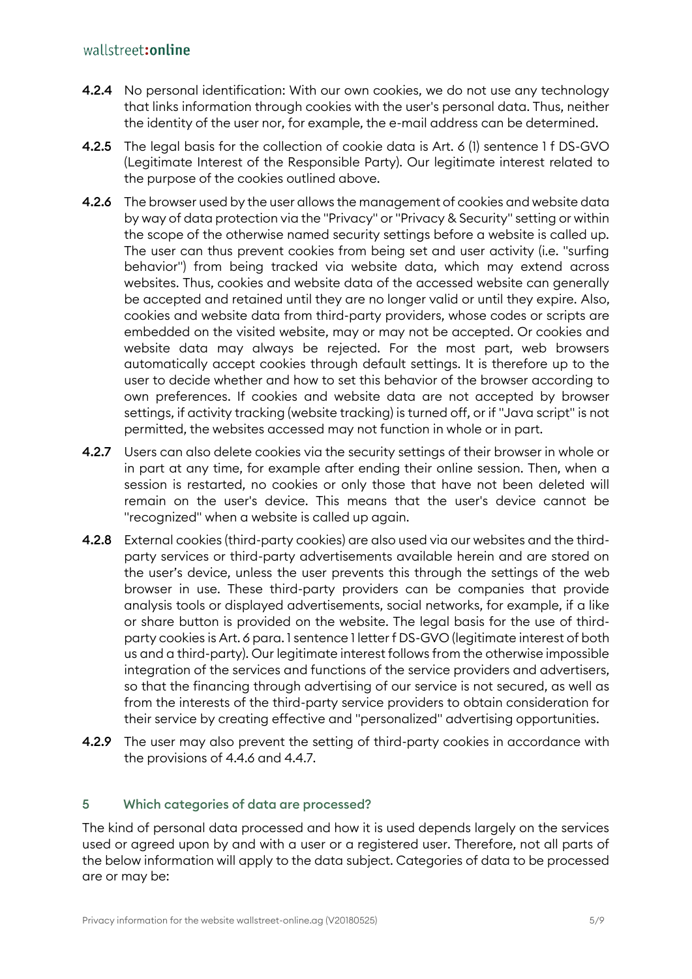# wallstreet: online

- 4.2.4 No personal identification: With our own cookies, we do not use any technology that links information through cookies with the user's personal data. Thus, neither the identity of the user nor, for example, the e-mail address can be determined.
- 4.2.5 The legal basis for the collection of cookie data is Art. 6 (1) sentence 1 f DS-GVO (Legitimate Interest of the Responsible Party). Our legitimate interest related to the purpose of the cookies outlined above.
- 4.2.6 The browser used by the user allows the management of cookies and website data by way of data protection via the "Privacy" or "Privacy & Security" setting or within the scope of the otherwise named security settings before a website is called up. The user can thus prevent cookies from being set and user activity (i.e. "surfing behavior") from being tracked via website data, which may extend across websites. Thus, cookies and website data of the accessed website can generally be accepted and retained until they are no longer valid or until they expire. Also, cookies and website data from third-party providers, whose codes or scripts are embedded on the visited website, may or may not be accepted. Or cookies and website data may always be rejected. For the most part, web browsers automatically accept cookies through default settings. It is therefore up to the user to decide whether and how to set this behavior of the browser according to own preferences. If cookies and website data are not accepted by browser settings, if activity tracking (website tracking) is turned off, or if "Java script" is not permitted, the websites accessed may not function in whole or in part.
- 4.2.7 Users can also delete cookies via the security settings of their browser in whole or in part at any time, for example after ending their online session. Then, when a session is restarted, no cookies or only those that have not been deleted will remain on the user's device. This means that the user's device cannot be "recognized" when a website is called up again.
- 4.2.8 External cookies (third-party cookies) are also used via our websites and the thirdparty services or third-party advertisements available herein and are stored on the user's device, unless the user prevents this through the settings of the web browser in use. These third-party providers can be companies that provide analysis tools or displayed advertisements, social networks, for example, if a like or share button is provided on the website. The legal basis for the use of thirdparty cookies is Art. 6 para. 1 sentence 1 letter f DS-GVO (legitimate interest of both us and a third-party). Our legitimate interest follows from the otherwise impossible integration of the services and functions of the service providers and advertisers, so that the financing through advertising of our service is not secured, as well as from the interests of the third-party service providers to obtain consideration for their service by creating effective and "personalized" advertising opportunities.
- 4.2.9 The user may also prevent the setting of third-party cookies in accordance with the provisions of 4.4.6 and 4.4.7.

## 5 Which categories of data are processed?

The kind of personal data processed and how it is used depends largely on the services used or agreed upon by and with a user or a registered user. Therefore, not all parts of the below information will apply to the data subject. Categories of data to be processed are or may be: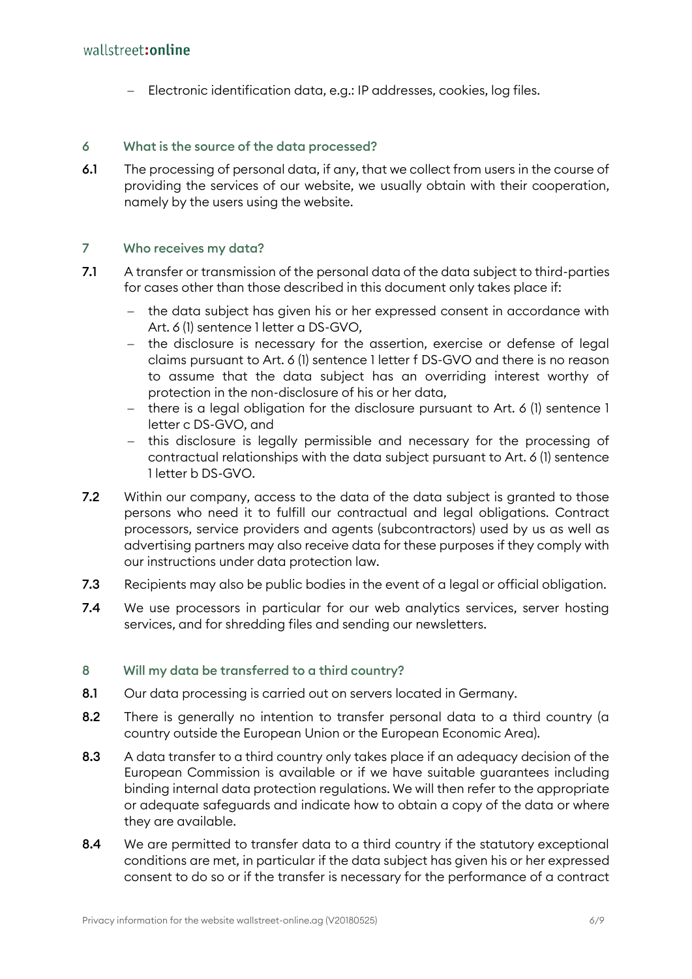− Electronic identification data, e.g.: IP addresses, cookies, log files.

## 6 What is the source of the data processed?

6.1 The processing of personal data, if any, that we collect from users in the course of providing the services of our website, we usually obtain with their cooperation, namely by the users using the website.

## 7 Who receives my data?

- 7.1 A transfer or transmission of the personal data of the data subject to third-parties for cases other than those described in this document only takes place if:
	- the data subject has given his or her expressed consent in accordance with Art. 6 (1) sentence 1 letter a DS-GVO,
	- − the disclosure is necessary for the assertion, exercise or defense of legal claims pursuant to Art. 6 (1) sentence 1 letter f DS-GVO and there is no reason to assume that the data subject has an overriding interest worthy of protection in the non-disclosure of his or her data,
	- − there is a legal obligation for the disclosure pursuant to Art. 6 (1) sentence 1 letter c DS-GVO, and
	- − this disclosure is legally permissible and necessary for the processing of contractual relationships with the data subject pursuant to Art. 6 (1) sentence 1 letter b DS-GVO.
- 7.2 Within our company, access to the data of the data subject is granted to those persons who need it to fulfill our contractual and legal obligations. Contract processors, service providers and agents (subcontractors) used by us as well as advertising partners may also receive data for these purposes if they comply with our instructions under data protection law.
- 7.3 Recipients may also be public bodies in the event of a legal or official obligation.
- 7.4 We use processors in particular for our web analytics services, server hosting services, and for shredding files and sending our newsletters.

## 8 Will my data be transferred to a third country?

- 8.1 Our data processing is carried out on servers located in Germany.
- 8.2 There is generally no intention to transfer personal data to a third country (a country outside the European Union or the European Economic Area).
- 8.3 A data transfer to a third country only takes place if an adequacy decision of the European Commission is available or if we have suitable guarantees including binding internal data protection regulations. We will then refer to the appropriate or adequate safeguards and indicate how to obtain a copy of the data or where they are available.
- 8.4 We are permitted to transfer data to a third country if the statutory exceptional conditions are met, in particular if the data subject has given his or her expressed consent to do so or if the transfer is necessary for the performance of a contract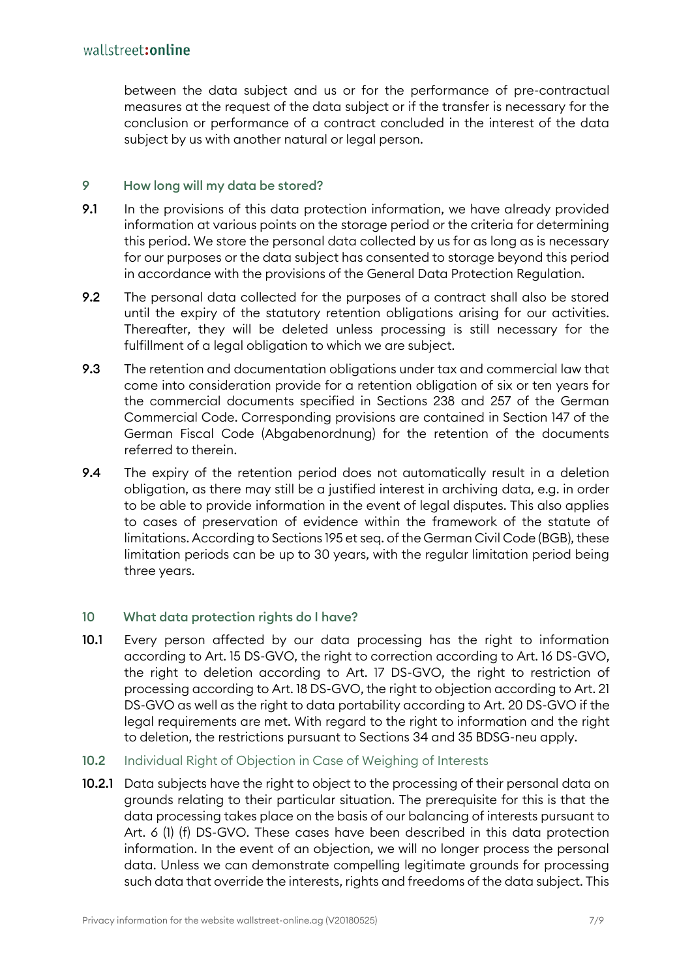between the data subject and us or for the performance of pre-contractual measures at the request of the data subject or if the transfer is necessary for the conclusion or performance of a contract concluded in the interest of the data subject by us with another natural or legal person.

#### 9 How long will my data be stored?

- 9.1 In the provisions of this data protection information, we have already provided information at various points on the storage period or the criteria for determining this period. We store the personal data collected by us for as long as is necessary for our purposes or the data subject has consented to storage beyond this period in accordance with the provisions of the General Data Protection Regulation.
- 9.2 The personal data collected for the purposes of a contract shall also be stored until the expiry of the statutory retention obligations arising for our activities. Thereafter, they will be deleted unless processing is still necessary for the fulfillment of a legal obligation to which we are subject.
- 9.3 The retention and documentation obligations under tax and commercial law that come into consideration provide for a retention obligation of six or ten years for the commercial documents specified in Sections 238 and 257 of the German Commercial Code. Corresponding provisions are contained in Section 147 of the German Fiscal Code (Abgabenordnung) for the retention of the documents referred to therein.
- 9.4 The expiry of the retention period does not automatically result in a deletion obligation, as there may still be a justified interest in archiving data, e.g. in order to be able to provide information in the event of legal disputes. This also applies to cases of preservation of evidence within the framework of the statute of limitations. According to Sections 195 et seq. of the German Civil Code (BGB), these limitation periods can be up to 30 years, with the regular limitation period being three years.

## 10 What data protection rights do I have?

- 10.1 Every person affected by our data processing has the right to information according to Art. 15 DS-GVO, the right to correction according to Art. 16 DS-GVO, the right to deletion according to Art. 17 DS-GVO, the right to restriction of processing according to Art. 18 DS-GVO, the right to objection according to Art. 21 DS-GVO as well as the right to data portability according to Art. 20 DS-GVO if the legal requirements are met. With regard to the right to information and the right to deletion, the restrictions pursuant to Sections 34 and 35 BDSG-neu apply.
- 10.2 Individual Right of Objection in Case of Weighing of Interests
- 10.2.1 Data subjects have the right to object to the processing of their personal data on grounds relating to their particular situation. The prerequisite for this is that the data processing takes place on the basis of our balancing of interests pursuant to Art. 6 (1) (f) DS-GVO. These cases have been described in this data protection information. In the event of an objection, we will no longer process the personal data. Unless we can demonstrate compelling legitimate grounds for processing such data that override the interests, rights and freedoms of the data subject. This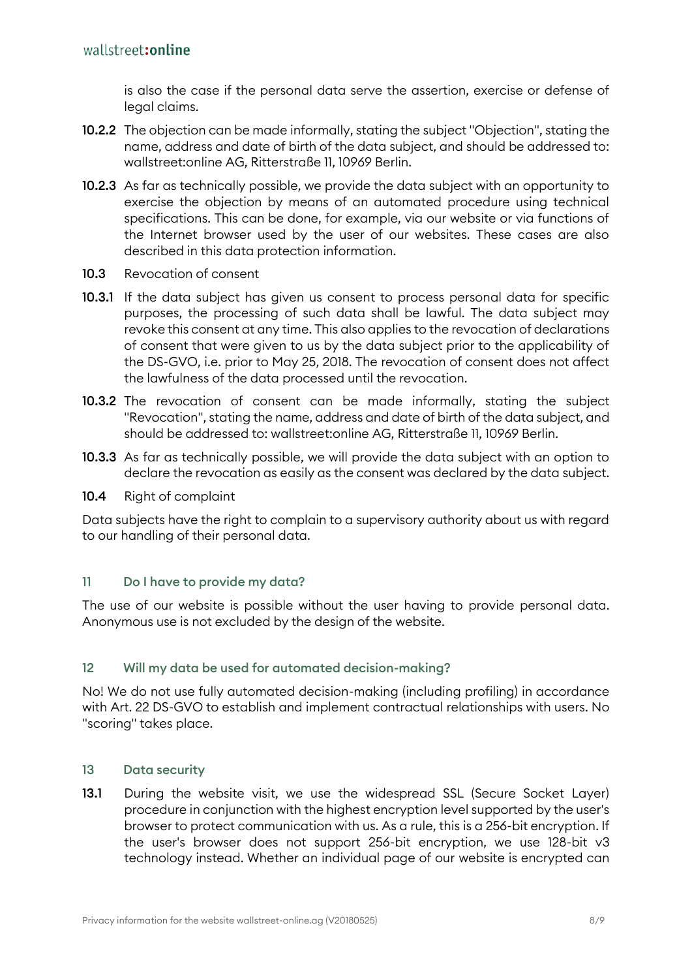is also the case if the personal data serve the assertion, exercise or defense of legal claims.

- 10.2.2 The objection can be made informally, stating the subject "Objection", stating the name, address and date of birth of the data subject, and should be addressed to: wallstreet:online AG, Ritterstraße 11, 10969 Berlin.
- 10.2.3 As far as technically possible, we provide the data subject with an opportunity to exercise the objection by means of an automated procedure using technical specifications. This can be done, for example, via our website or via functions of the Internet browser used by the user of our websites. These cases are also described in this data protection information.
- 10.3 Revocation of consent
- 10.3.1 If the data subject has given us consent to process personal data for specific purposes, the processing of such data shall be lawful. The data subject may revoke this consent at any time. This also applies to the revocation of declarations of consent that were given to us by the data subject prior to the applicability of the DS-GVO, i.e. prior to May 25, 2018. The revocation of consent does not affect the lawfulness of the data processed until the revocation.
- 10.3.2 The revocation of consent can be made informally, stating the subject "Revocation", stating the name, address and date of birth of the data subject, and should be addressed to: wallstreet:online AG, Ritterstraße 11, 10969 Berlin.
- 10.3.3 As far as technically possible, we will provide the data subject with an option to declare the revocation as easily as the consent was declared by the data subject.
- 10.4 Right of complaint

Data subjects have the right to complain to a supervisory authority about us with regard to our handling of their personal data.

## 11 Do I have to provide my data?

The use of our website is possible without the user having to provide personal data. Anonymous use is not excluded by the design of the website.

## 12 Will my data be used for automated decision-making?

No! We do not use fully automated decision-making (including profiling) in accordance with Art. 22 DS-GVO to establish and implement contractual relationships with users. No "scoring" takes place.

## 13 Data security

13.1 During the website visit, we use the widespread SSL (Secure Socket Layer) procedure in conjunction with the highest encryption level supported by the user's browser to protect communication with us. As a rule, this is a 256-bit encryption. If the user's browser does not support 256-bit encryption, we use 128-bit v3 technology instead. Whether an individual page of our website is encrypted can